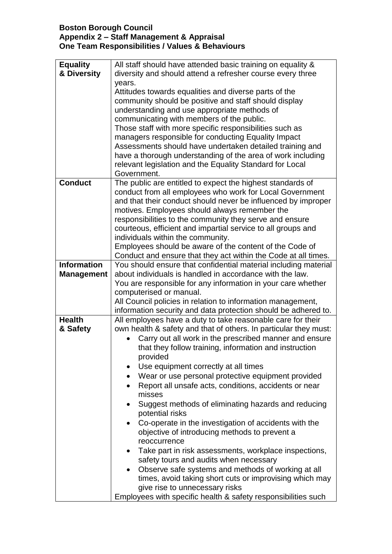## **Boston Borough Council Appendix 2 – Staff Management & Appraisal One Team Responsibilities / Values & Behaviours**

| <b>Equality</b>    | All staff should have attended basic training on equality &                                                               |
|--------------------|---------------------------------------------------------------------------------------------------------------------------|
| & Diversity        | diversity and should attend a refresher course every three                                                                |
|                    | years.                                                                                                                    |
|                    | Attitudes towards equalities and diverse parts of the                                                                     |
|                    | community should be positive and staff should display                                                                     |
|                    | understanding and use appropriate methods of                                                                              |
|                    | communicating with members of the public.                                                                                 |
|                    | Those staff with more specific responsibilities such as                                                                   |
|                    | managers responsible for conducting Equality Impact                                                                       |
|                    | Assessments should have undertaken detailed training and                                                                  |
|                    | have a thorough understanding of the area of work including                                                               |
|                    | relevant legislation and the Equality Standard for Local                                                                  |
|                    | Government.                                                                                                               |
| <b>Conduct</b>     | The public are entitled to expect the highest standards of                                                                |
|                    | conduct from all employees who work for Local Government<br>and that their conduct should never be influenced by improper |
|                    | motives. Employees should always remember the                                                                             |
|                    | responsibilities to the community they serve and ensure                                                                   |
|                    | courteous, efficient and impartial service to all groups and                                                              |
|                    | individuals within the community.                                                                                         |
|                    | Employees should be aware of the content of the Code of                                                                   |
|                    | Conduct and ensure that they act within the Code at all times.                                                            |
| <b>Information</b> | You should ensure that confidential material including material                                                           |
| <b>Management</b>  | about individuals is handled in accordance with the law.                                                                  |
|                    | You are responsible for any information in your care whether                                                              |
|                    | computerised or manual.                                                                                                   |
|                    | All Council policies in relation to information management,                                                               |
|                    | information security and data protection should be adhered to.                                                            |
| <b>Health</b>      | All employees have a duty to take reasonable care for their                                                               |
| & Safety           | own health & safety and that of others. In particular they must:                                                          |
|                    | Carry out all work in the prescribed manner and ensure                                                                    |
|                    | that they follow training, information and instruction                                                                    |
|                    | provided                                                                                                                  |
|                    | Use equipment correctly at all times                                                                                      |
|                    | Wear or use personal protective equipment provided                                                                        |
|                    | Report all unsafe acts, conditions, accidents or near<br>$\bullet$                                                        |
|                    | misses                                                                                                                    |
|                    | Suggest methods of eliminating hazards and reducing<br>$\bullet$                                                          |
|                    | potential risks                                                                                                           |
|                    | Co-operate in the investigation of accidents with the                                                                     |
|                    | objective of introducing methods to prevent a                                                                             |
|                    | reoccurrence                                                                                                              |
|                    | Take part in risk assessments, workplace inspections,<br>$\bullet$                                                        |
|                    | safety tours and audits when necessary                                                                                    |
|                    | Observe safe systems and methods of working at all<br>$\bullet$                                                           |
|                    | times, avoid taking short cuts or improvising which may                                                                   |
|                    | give rise to unnecessary risks                                                                                            |
|                    | Employees with specific health & safety responsibilities such                                                             |